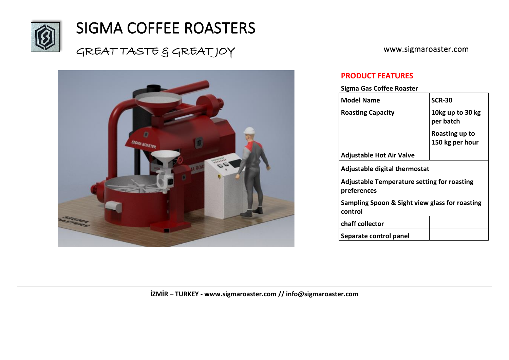

# SIGMA COFFEE ROASTERS

### GREAT TASTE & GREATJOY



www.sigmaroaster.com

#### **PRODUCT FEATURES**

**Sigma Gas Coffee Roaster** 

| <b>Model Name</b>                                                 | <b>SCR-30</b>                     |
|-------------------------------------------------------------------|-----------------------------------|
| <b>Roasting Capacity</b>                                          | 10kg up to 30 kg<br>per batch     |
|                                                                   | Roasting up to<br>150 kg per hour |
| <b>Adjustable Hot Air Valve</b>                                   |                                   |
| <b>Adjustable digital thermostat</b>                              |                                   |
| <b>Adjustable Temperature setting for roasting</b><br>preferences |                                   |
| Sampling Spoon & Sight view glass for roasting<br>control         |                                   |
| chaff collector                                                   |                                   |
| Separate control panel                                            |                                   |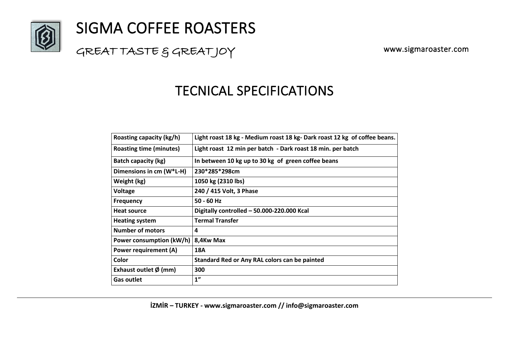

# SIGMA COFFEE ROASTERS

### GREAT TASTE & GREATJOY

www.sigmaroaster.com

### TECNICAL SPECIFICATIONS

| Roasting capacity (kg/h)        | Light roast 18 kg - Medium roast 18 kg-Dark roast 12 kg of coffee beans. |
|---------------------------------|--------------------------------------------------------------------------|
| <b>Roasting time (minutes)</b>  | Light roast 12 min per batch - Dark roast 18 min. per batch              |
| <b>Batch capacity (kg)</b>      | In between 10 kg up to 30 kg of green coffee beans                       |
| Dimensions in cm (W*L-H)        | 230*285*298cm                                                            |
| Weight (kg)                     | 1050 kg (2310 lbs)                                                       |
| <b>Voltage</b>                  | 240 / 415 Volt, 3 Phase                                                  |
| <b>Frequency</b>                | $50 - 60$ Hz                                                             |
| <b>Heat source</b>              | Digitally controlled - 50.000-220.000 Kcal                               |
| <b>Heating system</b>           | <b>Termal Transfer</b>                                                   |
| <b>Number of motors</b>         | 4                                                                        |
| Power consumption (kW/h)        | 8,4Kw Max                                                                |
| <b>Power requirement (A)</b>    | 18A                                                                      |
| Color                           | Standard Red or Any RAL colors can be painted                            |
| Exhaust outlet $\emptyset$ (mm) | 300                                                                      |
| <b>Gas outlet</b>               | 1 <sup>''</sup>                                                          |

**İZMİR – TURKEY - www.sigmaroaster.com // info@sigmaroaster.com**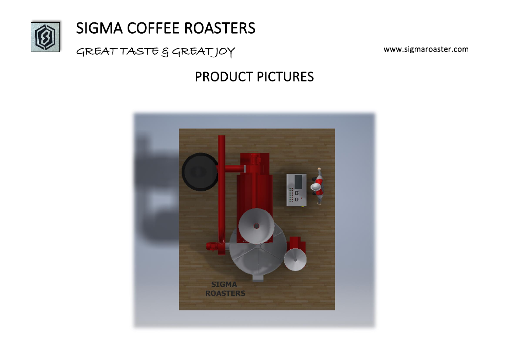

# SIGMA COFFEE ROASTERS

GREAT TASTE & GREATJOY

www.sigmaroaster.com

## PRODUCT PICTURES